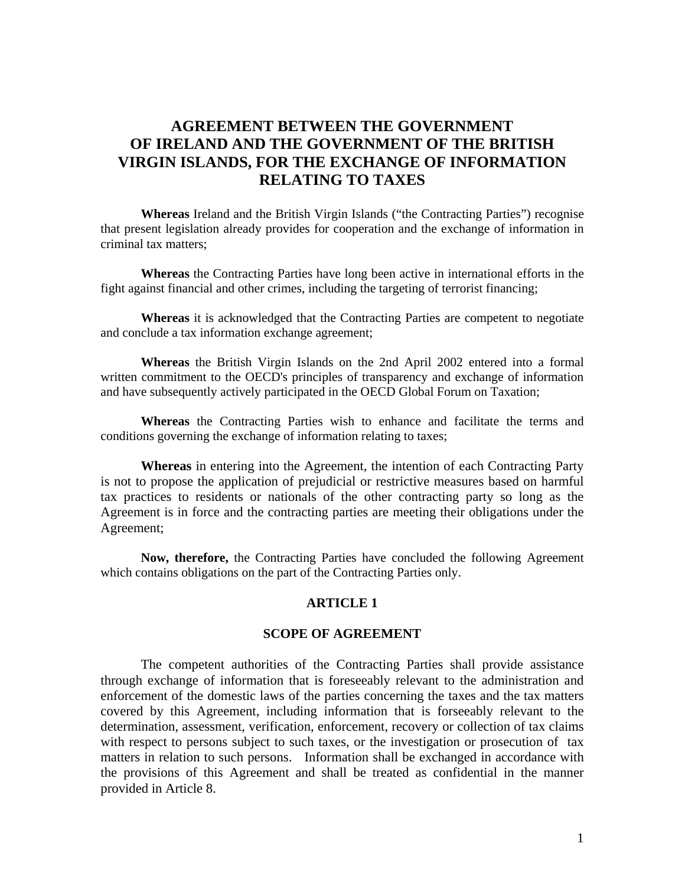# **AGREEMENT BETWEEN THE GOVERNMENT OF IRELAND AND THE GOVERNMENT OF THE BRITISH VIRGIN ISLANDS, FOR THE EXCHANGE OF INFORMATION RELATING TO TAXES**

**Whereas** Ireland and the British Virgin Islands ("the Contracting Parties") recognise that present legislation already provides for cooperation and the exchange of information in criminal tax matters;

**Whereas** the Contracting Parties have long been active in international efforts in the fight against financial and other crimes, including the targeting of terrorist financing;

**Whereas** it is acknowledged that the Contracting Parties are competent to negotiate and conclude a tax information exchange agreement;

**Whereas** the British Virgin Islands on the 2nd April 2002 entered into a formal written commitment to the OECD's principles of transparency and exchange of information and have subsequently actively participated in the OECD Global Forum on Taxation;

**Whereas** the Contracting Parties wish to enhance and facilitate the terms and conditions governing the exchange of information relating to taxes;

**Whereas** in entering into the Agreement, the intention of each Contracting Party is not to propose the application of prejudicial or restrictive measures based on harmful tax practices to residents or nationals of the other contracting party so long as the Agreement is in force and the contracting parties are meeting their obligations under the Agreement;

**Now, therefore,** the Contracting Parties have concluded the following Agreement which contains obligations on the part of the Contracting Parties only.

### **ARTICLE 1**

#### **SCOPE OF AGREEMENT**

The competent authorities of the Contracting Parties shall provide assistance through exchange of information that is foreseeably relevant to the administration and enforcement of the domestic laws of the parties concerning the taxes and the tax matters covered by this Agreement, including information that is forseeably relevant to the determination, assessment, verification, enforcement, recovery or collection of tax claims with respect to persons subject to such taxes, or the investigation or prosecution of tax matters in relation to such persons. Information shall be exchanged in accordance with the provisions of this Agreement and shall be treated as confidential in the manner provided in Article 8.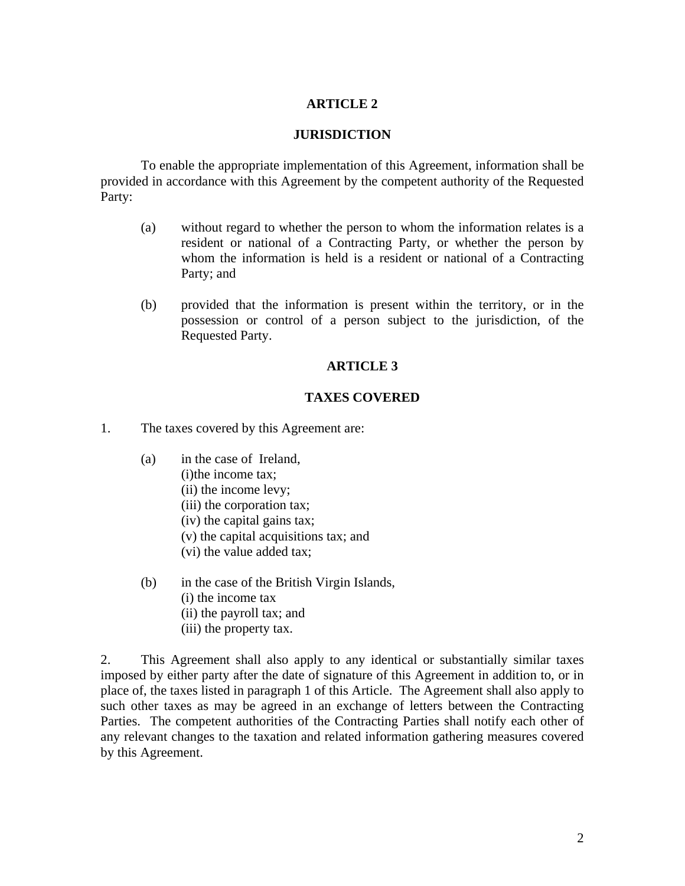## **ARTICLE 2**

### **JURISDICTION**

 To enable the appropriate implementation of this Agreement, information shall be provided in accordance with this Agreement by the competent authority of the Requested Party:

- (a) without regard to whether the person to whom the information relates is a resident or national of a Contracting Party, or whether the person by whom the information is held is a resident or national of a Contracting Party; and
- (b) provided that the information is present within the territory, or in the possession or control of a person subject to the jurisdiction, of the Requested Party.

### **ARTICLE 3**

## **TAXES COVERED**

1. The taxes covered by this Agreement are:

- (a) in the case of Ireland,
	- (i)the income tax;
	- (ii) the income levy;
	- (iii) the corporation tax;
	- (iv) the capital gains tax;
	- (v) the capital acquisitions tax; and
	- (vi) the value added tax;
- (b) in the case of the British Virgin Islands,
	- (i) the income tax
	- (ii) the payroll tax; and
	- (iii) the property tax.

2. This Agreement shall also apply to any identical or substantially similar taxes imposed by either party after the date of signature of this Agreement in addition to, or in place of, the taxes listed in paragraph 1 of this Article. The Agreement shall also apply to such other taxes as may be agreed in an exchange of letters between the Contracting Parties. The competent authorities of the Contracting Parties shall notify each other of any relevant changes to the taxation and related information gathering measures covered by this Agreement.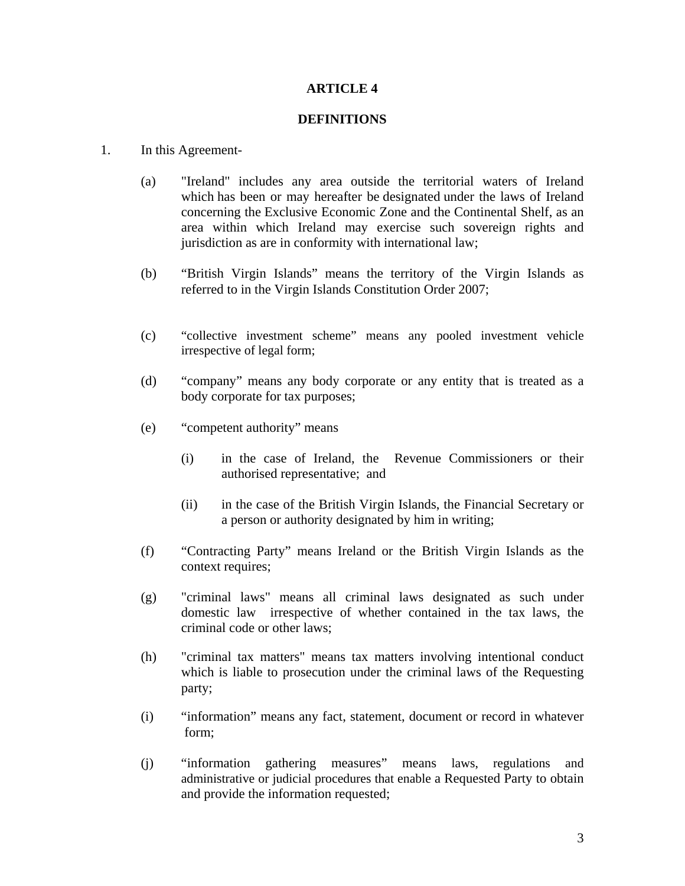## **ARTICLE 4**

### **DEFINITIONS**

### 1. In this Agreement-

- (a) "Ireland" includes any area outside the territorial waters of Ireland which has been or may hereafter be designated under the laws of Ireland concerning the Exclusive Economic Zone and the Continental Shelf, as an area within which Ireland may exercise such sovereign rights and jurisdiction as are in conformity with international law;
- (b) "British Virgin Islands" means the territory of the Virgin Islands as referred to in the Virgin Islands Constitution Order 2007;
- (c) "collective investment scheme" means any pooled investment vehicle irrespective of legal form;
- (d) "company" means any body corporate or any entity that is treated as a body corporate for tax purposes;
- (e) "competent authority" means
	- (i) in the case of Ireland, the Revenue Commissioners or their authorised representative; and
	- (ii) in the case of the British Virgin Islands, the Financial Secretary or a person or authority designated by him in writing;
- (f) "Contracting Party" means Ireland or the British Virgin Islands as the context requires;
- (g) "criminal laws" means all criminal laws designated as such under domestic law irrespective of whether contained in the tax laws, the criminal code or other laws;
- (h) "criminal tax matters" means tax matters involving intentional conduct which is liable to prosecution under the criminal laws of the Requesting party;
- (i) "information" means any fact, statement, document or record in whatever form;
- (j) "information gathering measures" means laws, regulations and administrative or judicial procedures that enable a Requested Party to obtain and provide the information requested;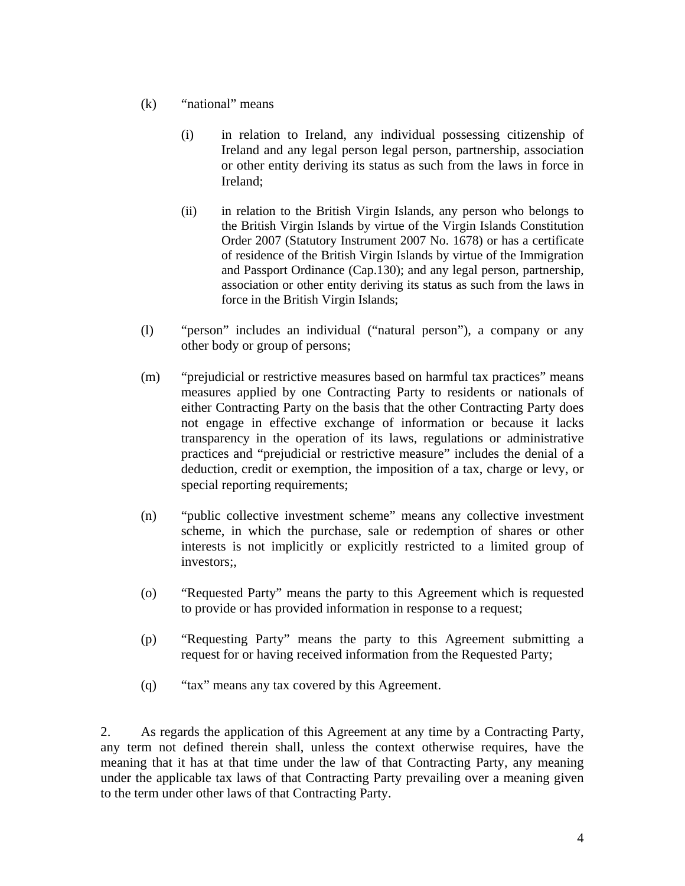- (k) "national" means
	- (i) in relation to Ireland, any individual possessing citizenship of Ireland and any legal person legal person, partnership, association or other entity deriving its status as such from the laws in force in Ireland;
	- (ii) in relation to the British Virgin Islands, any person who belongs to the British Virgin Islands by virtue of the Virgin Islands Constitution Order 2007 (Statutory Instrument 2007 No. 1678) or has a certificate of residence of the British Virgin Islands by virtue of the Immigration and Passport Ordinance (Cap.130); and any legal person, partnership, association or other entity deriving its status as such from the laws in force in the British Virgin Islands;
- (l) "person" includes an individual ("natural person"), a company or any other body or group of persons;
- (m) "prejudicial or restrictive measures based on harmful tax practices" means measures applied by one Contracting Party to residents or nationals of either Contracting Party on the basis that the other Contracting Party does not engage in effective exchange of information or because it lacks transparency in the operation of its laws, regulations or administrative practices and "prejudicial or restrictive measure" includes the denial of a deduction, credit or exemption, the imposition of a tax, charge or levy, or special reporting requirements;
- (n) "public collective investment scheme" means any collective investment scheme, in which the purchase, sale or redemption of shares or other interests is not implicitly or explicitly restricted to a limited group of investors;,
- (o) "Requested Party" means the party to this Agreement which is requested to provide or has provided information in response to a request;
- (p) "Requesting Party" means the party to this Agreement submitting a request for or having received information from the Requested Party;
- (q) "tax" means any tax covered by this Agreement.

2. As regards the application of this Agreement at any time by a Contracting Party, any term not defined therein shall, unless the context otherwise requires, have the meaning that it has at that time under the law of that Contracting Party, any meaning under the applicable tax laws of that Contracting Party prevailing over a meaning given to the term under other laws of that Contracting Party.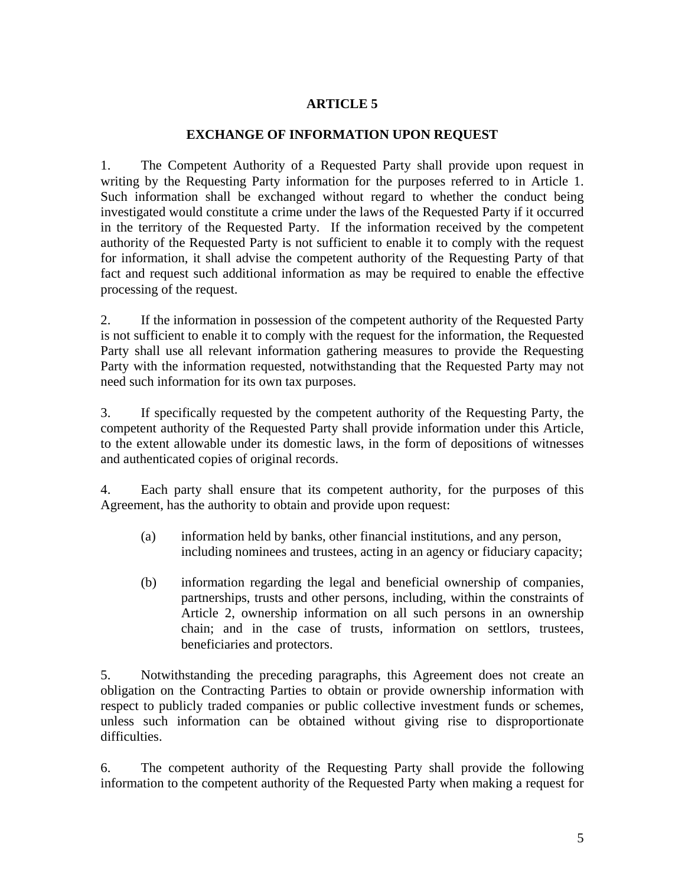## **ARTICLE 5**

## **EXCHANGE OF INFORMATION UPON REQUEST**

1. The Competent Authority of a Requested Party shall provide upon request in writing by the Requesting Party information for the purposes referred to in Article 1. Such information shall be exchanged without regard to whether the conduct being investigated would constitute a crime under the laws of the Requested Party if it occurred in the territory of the Requested Party. If the information received by the competent authority of the Requested Party is not sufficient to enable it to comply with the request for information, it shall advise the competent authority of the Requesting Party of that fact and request such additional information as may be required to enable the effective processing of the request.

2. If the information in possession of the competent authority of the Requested Party is not sufficient to enable it to comply with the request for the information, the Requested Party shall use all relevant information gathering measures to provide the Requesting Party with the information requested, notwithstanding that the Requested Party may not need such information for its own tax purposes.

3. If specifically requested by the competent authority of the Requesting Party, the competent authority of the Requested Party shall provide information under this Article, to the extent allowable under its domestic laws, in the form of depositions of witnesses and authenticated copies of original records.

4. Each party shall ensure that its competent authority, for the purposes of this Agreement, has the authority to obtain and provide upon request:

- (a) information held by banks, other financial institutions, and any person, including nominees and trustees, acting in an agency or fiduciary capacity;
- (b) information regarding the legal and beneficial ownership of companies, partnerships, trusts and other persons, including, within the constraints of Article 2, ownership information on all such persons in an ownership chain; and in the case of trusts, information on settlors, trustees, beneficiaries and protectors.

5. Notwithstanding the preceding paragraphs, this Agreement does not create an obligation on the Contracting Parties to obtain or provide ownership information with respect to publicly traded companies or public collective investment funds or schemes, unless such information can be obtained without giving rise to disproportionate difficulties.

6. The competent authority of the Requesting Party shall provide the following information to the competent authority of the Requested Party when making a request for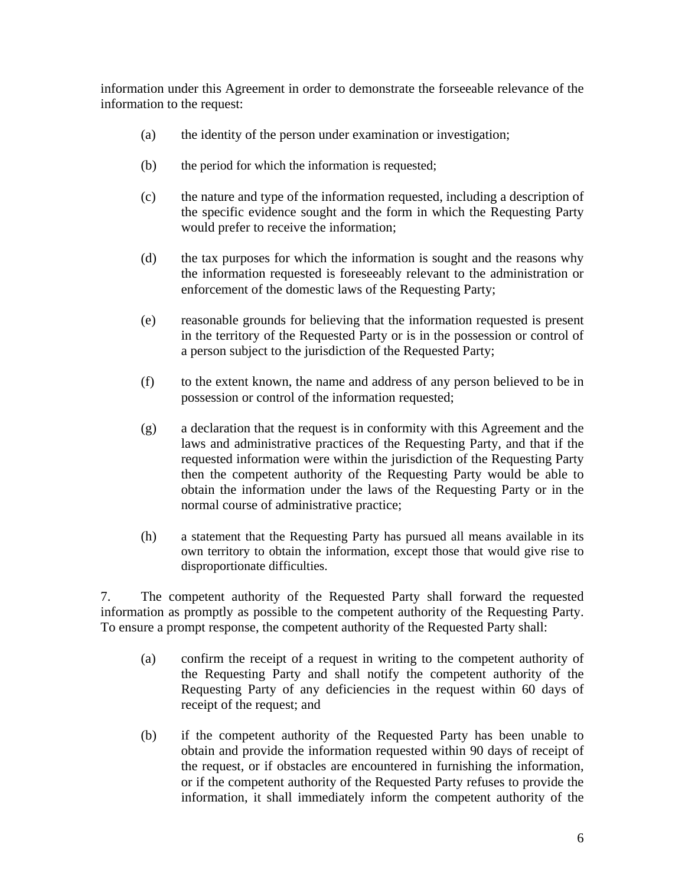information under this Agreement in order to demonstrate the forseeable relevance of the information to the request:

- (a) the identity of the person under examination or investigation;
- (b) the period for which the information is requested;
- (c) the nature and type of the information requested, including a description of the specific evidence sought and the form in which the Requesting Party would prefer to receive the information;
- (d) the tax purposes for which the information is sought and the reasons why the information requested is foreseeably relevant to the administration or enforcement of the domestic laws of the Requesting Party;
- (e) reasonable grounds for believing that the information requested is present in the territory of the Requested Party or is in the possession or control of a person subject to the jurisdiction of the Requested Party;
- (f) to the extent known, the name and address of any person believed to be in possession or control of the information requested;
- (g) a declaration that the request is in conformity with this Agreement and the laws and administrative practices of the Requesting Party, and that if the requested information were within the jurisdiction of the Requesting Party then the competent authority of the Requesting Party would be able to obtain the information under the laws of the Requesting Party or in the normal course of administrative practice;
- (h) a statement that the Requesting Party has pursued all means available in its own territory to obtain the information, except those that would give rise to disproportionate difficulties.

7. The competent authority of the Requested Party shall forward the requested information as promptly as possible to the competent authority of the Requesting Party. To ensure a prompt response, the competent authority of the Requested Party shall:

- (a) confirm the receipt of a request in writing to the competent authority of the Requesting Party and shall notify the competent authority of the Requesting Party of any deficiencies in the request within 60 days of receipt of the request; and
- (b) if the competent authority of the Requested Party has been unable to obtain and provide the information requested within 90 days of receipt of the request, or if obstacles are encountered in furnishing the information, or if the competent authority of the Requested Party refuses to provide the information, it shall immediately inform the competent authority of the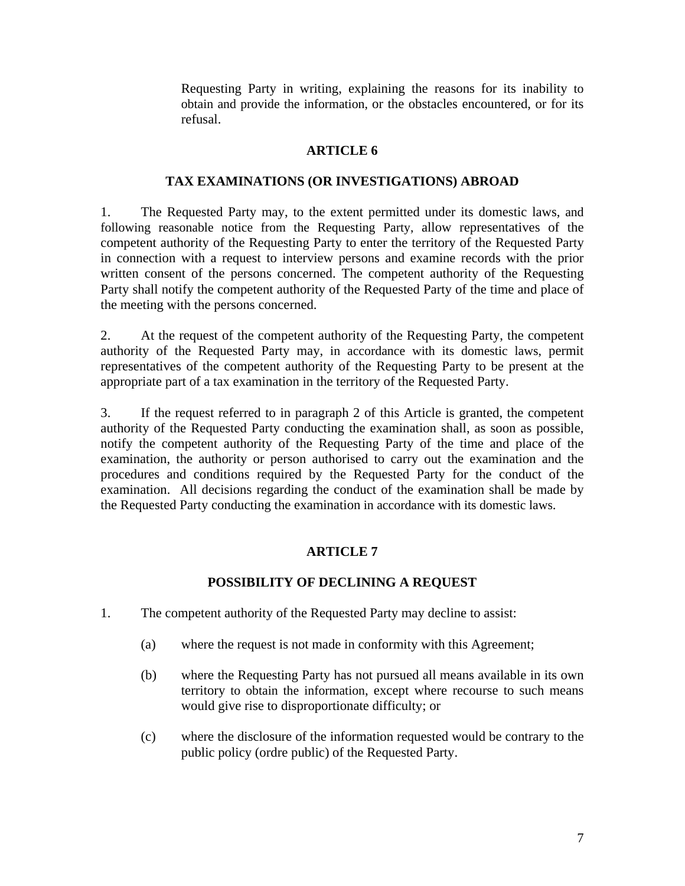Requesting Party in writing, explaining the reasons for its inability to obtain and provide the information, or the obstacles encountered, or for its refusal.

## **ARTICLE 6**

## **TAX EXAMINATIONS (OR INVESTIGATIONS) ABROAD**

1. The Requested Party may, to the extent permitted under its domestic laws, and following reasonable notice from the Requesting Party, allow representatives of the competent authority of the Requesting Party to enter the territory of the Requested Party in connection with a request to interview persons and examine records with the prior written consent of the persons concerned. The competent authority of the Requesting Party shall notify the competent authority of the Requested Party of the time and place of the meeting with the persons concerned.

2. At the request of the competent authority of the Requesting Party, the competent authority of the Requested Party may, in accordance with its domestic laws, permit representatives of the competent authority of the Requesting Party to be present at the appropriate part of a tax examination in the territory of the Requested Party.

3. If the request referred to in paragraph 2 of this Article is granted, the competent authority of the Requested Party conducting the examination shall, as soon as possible, notify the competent authority of the Requesting Party of the time and place of the examination, the authority or person authorised to carry out the examination and the procedures and conditions required by the Requested Party for the conduct of the examination. All decisions regarding the conduct of the examination shall be made by the Requested Party conducting the examination in accordance with its domestic laws.

## **ARTICLE 7**

## **POSSIBILITY OF DECLINING A REQUEST**

- 1. The competent authority of the Requested Party may decline to assist:
	- (a) where the request is not made in conformity with this Agreement;
	- (b) where the Requesting Party has not pursued all means available in its own territory to obtain the information, except where recourse to such means would give rise to disproportionate difficulty; or
	- (c) where the disclosure of the information requested would be contrary to the public policy (ordre public) of the Requested Party.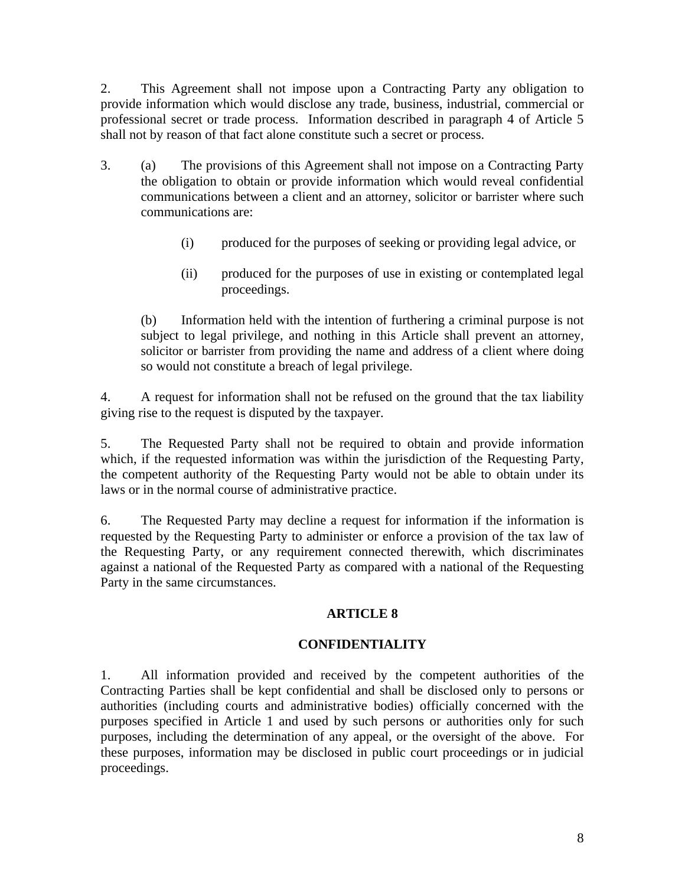2. This Agreement shall not impose upon a Contracting Party any obligation to provide information which would disclose any trade, business, industrial, commercial or professional secret or trade process. Information described in paragraph 4 of Article 5 shall not by reason of that fact alone constitute such a secret or process.

- 3. (a) The provisions of this Agreement shall not impose on a Contracting Party the obligation to obtain or provide information which would reveal confidential communications between a client and an attorney, solicitor or barrister where such communications are:
	- (i) produced for the purposes of seeking or providing legal advice, or
	- (ii) produced for the purposes of use in existing or contemplated legal proceedings.

(b) Information held with the intention of furthering a criminal purpose is not subject to legal privilege, and nothing in this Article shall prevent an attorney, solicitor or barrister from providing the name and address of a client where doing so would not constitute a breach of legal privilege.

4. A request for information shall not be refused on the ground that the tax liability giving rise to the request is disputed by the taxpayer.

5. The Requested Party shall not be required to obtain and provide information which, if the requested information was within the jurisdiction of the Requesting Party, the competent authority of the Requesting Party would not be able to obtain under its laws or in the normal course of administrative practice.

6. The Requested Party may decline a request for information if the information is requested by the Requesting Party to administer or enforce a provision of the tax law of the Requesting Party, or any requirement connected therewith, which discriminates against a national of the Requested Party as compared with a national of the Requesting Party in the same circumstances.

## **ARTICLE 8**

## **CONFIDENTIALITY**

1. All information provided and received by the competent authorities of the Contracting Parties shall be kept confidential and shall be disclosed only to persons or authorities (including courts and administrative bodies) officially concerned with the purposes specified in Article 1 and used by such persons or authorities only for such purposes, including the determination of any appeal, or the oversight of the above. For these purposes, information may be disclosed in public court proceedings or in judicial proceedings.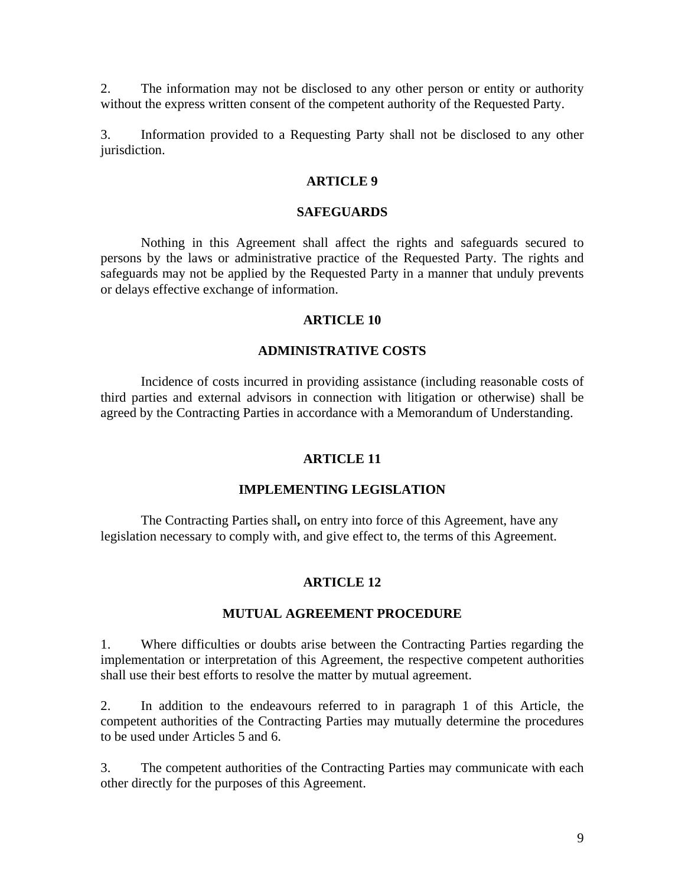2. The information may not be disclosed to any other person or entity or authority without the express written consent of the competent authority of the Requested Party.

3. Information provided to a Requesting Party shall not be disclosed to any other jurisdiction.

## **ARTICLE 9**

#### **SAFEGUARDS**

 Nothing in this Agreement shall affect the rights and safeguards secured to persons by the laws or administrative practice of the Requested Party. The rights and safeguards may not be applied by the Requested Party in a manner that unduly prevents or delays effective exchange of information.

### **ARTICLE 10**

#### **ADMINISTRATIVE COSTS**

Incidence of costs incurred in providing assistance (including reasonable costs of third parties and external advisors in connection with litigation or otherwise) shall be agreed by the Contracting Parties in accordance with a Memorandum of Understanding.

#### **ARTICLE 11**

#### **IMPLEMENTING LEGISLATION**

The Contracting Parties shall**,** on entry into force of this Agreement, have any legislation necessary to comply with, and give effect to, the terms of this Agreement.

#### **ARTICLE 12**

#### **MUTUAL AGREEMENT PROCEDURE**

1. Where difficulties or doubts arise between the Contracting Parties regarding the implementation or interpretation of this Agreement, the respective competent authorities shall use their best efforts to resolve the matter by mutual agreement.

2. In addition to the endeavours referred to in paragraph 1 of this Article, the competent authorities of the Contracting Parties may mutually determine the procedures to be used under Articles 5 and 6.

3. The competent authorities of the Contracting Parties may communicate with each other directly for the purposes of this Agreement.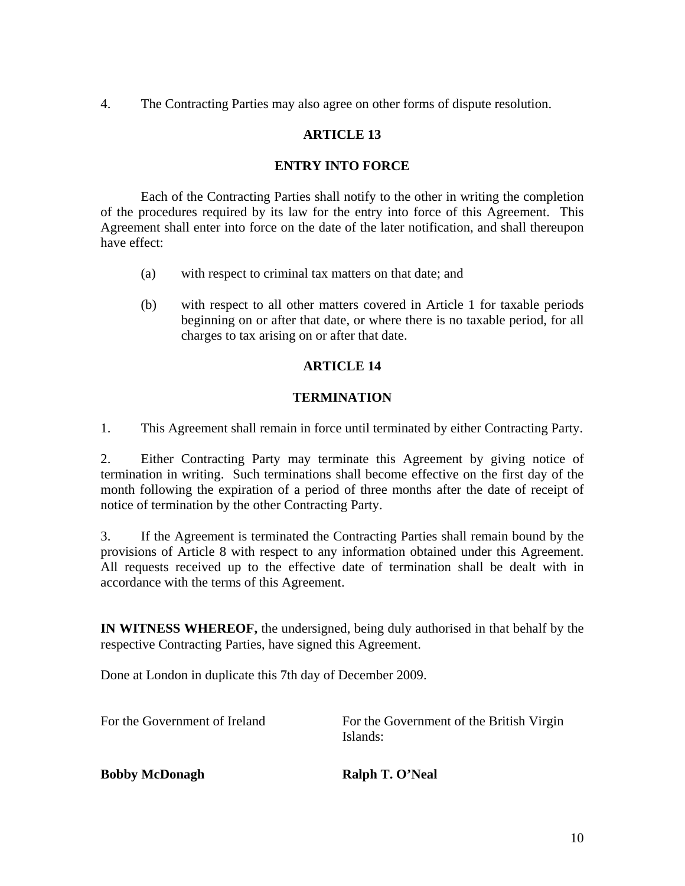4. The Contracting Parties may also agree on other forms of dispute resolution.

## **ARTICLE 13**

## **ENTRY INTO FORCE**

 Each of the Contracting Parties shall notify to the other in writing the completion of the procedures required by its law for the entry into force of this Agreement. This Agreement shall enter into force on the date of the later notification, and shall thereupon have effect:

- (a) with respect to criminal tax matters on that date; and
- (b) with respect to all other matters covered in Article 1 for taxable periods beginning on or after that date, or where there is no taxable period, for all charges to tax arising on or after that date.

## **ARTICLE 14**

## **TERMINATION**

1. This Agreement shall remain in force until terminated by either Contracting Party.

2. Either Contracting Party may terminate this Agreement by giving notice of termination in writing. Such terminations shall become effective on the first day of the month following the expiration of a period of three months after the date of receipt of notice of termination by the other Contracting Party.

3. If the Agreement is terminated the Contracting Parties shall remain bound by the provisions of Article 8 with respect to any information obtained under this Agreement. All requests received up to the effective date of termination shall be dealt with in accordance with the terms of this Agreement.

**IN WITNESS WHEREOF,** the undersigned, being duly authorised in that behalf by the respective Contracting Parties, have signed this Agreement.

Done at London in duplicate this 7th day of December 2009.

For the Government of Ireland For the Government of the British Virgin Islands:

## **Bobby McDonagh Ralph T. O'Neal**